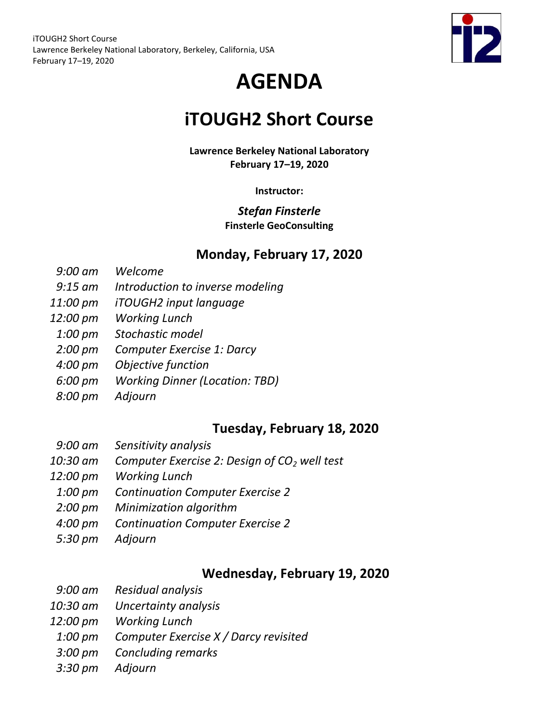

# **AGENDA**

## **iTOUGH2 Short Course**

**Lawrence Berkeley National Laboratory February 17–19, 2020**

**Instructor:**

### *Stefan Finsterle* **Finsterle GeoConsulting**

### **Monday, February 17, 2020**

- *9:00 am Welcome*
- *9:15 am Introduction to inverse modeling*
- *11:00 pm iTOUGH2 input language*
- *12:00 pm Working Lunch*
- *1:00 pm Stochastic model*
- *2:00 pm Computer Exercise 1: Darcy*
- *4:00 pm Objective function*
- *6:00 pm Working Dinner (Location: TBD)*
- *8:00 pm Adjourn*

## **Tuesday, February 18, 2020**

- *9:00 am Sensitivity analysis*
- *10:30 am Computer Exercise 2: Design of CO<sup>2</sup> well test*
- *12:00 pm Working Lunch*
- *1:00 pm Continuation Computer Exercise 2*
- *2:00 pm Minimization algorithm*
- *4:00 pm Continuation Computer Exercise 2*
- *5:30 pm Adjourn*

## **Wednesday, February 19, 2020**

- *9:00 am Residual analysis*
- *10:30 am Uncertainty analysis*
- *12:00 pm Working Lunch*
- *1:00 pm Computer Exercise X / Darcy revisited*
- *3:00 pm Concluding remarks*
- *3:30 pm Adjourn*